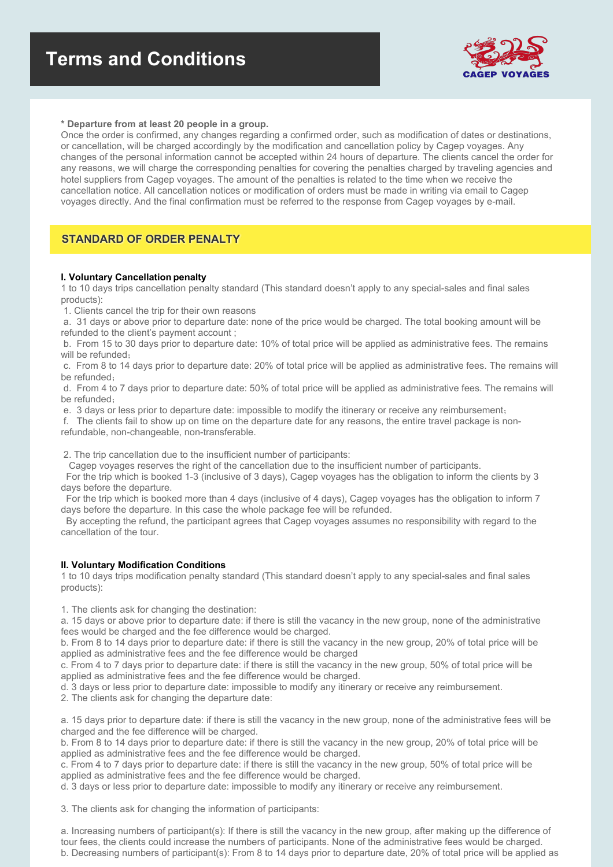

#### **\* Departure from at least 20 people in a group.**

Once the order is confirmed, any changes regarding a confirmed order, such as modification of dates or destinations, or cancellation, will be charged accordingly by the modification and cancellation policy by Cagep voyages. Any changes of the personal information cannot be accepted within 24 hours of departure. The clients cancel the order for any reasons, we will charge the corresponding penalties for covering the penalties charged by traveling agencies and hotel suppliers from Cagep voyages. The amount of the penalties is related to the time when we receive the cancellation notice. All cancellation notices or modification of orders must be made in writing via email to Cagep voyages directly. And the final confirmation must be referred to the response from Cagep voyages by e-mail.

## **STANDARD OF ORDER PENALTY**

### **I. Voluntary Cancellation penalty**

1 to 10 days trips cancellation penalty standard (This standard doesn't apply to any special-sales and final sales products):

1. Clients cancel the trip for their own reasons

a. 31 days or above prior to departure date: none of the price would be charged. The total booking amount will be refunded to the client's payment account ;

b. From 15 to 30 days prior to departure date: 10% of total price will be applied as administrative fees. The remains will be refunded;

c. From 8 to 14 days prior to departure date: 20% of total price will be applied as administrative fees. The remains will be refunded;

d. From 4 to 7 days prior to departure date: 50% of total price will be applied as administrative fees. The remains will be refunded;

e. 3 days or less prior to departure date: impossible to modify the itinerary or receive any reimbursement;

f. The clients fail to show up on time on the departure date for any reasons, the entire travel package is non-

refundable, non-changeable, non-transferable.

2. The trip cancellation due to the insufficient number of participants:

Cagep voyages reserves the right of the cancellation due to the insufficient number of participants.

For the trip which is booked 1-3 (inclusive of 3 days), Cagep voyages has the obligation to inform the clients by 3 days before the departure.

For the trip which is booked more than 4 days (inclusive of 4 days), Cagep voyages has the obligation to inform 7 days before the departure. In this case the whole package fee will be refunded.

By accepting the refund, the participant agrees that Cagep voyages assumes no responsibility with regard to the cancellation of the tour.

#### **II. Voluntary Modification Conditions**

1 to 10 days trips modification penalty standard (This standard doesn't apply to any special-sales and final sales products):

1. The clients ask for changing the destination:

a. 15 days or above prior to departure date: if there is still the vacancy in the new group, none of the administrative fees would be charged and the fee difference would be charged.

b. From 8 to 14 days prior to departure date: if there is still the vacancy in the new group, 20% of total price will be applied as administrative fees and the fee difference would be charged

c. From 4 to 7 days prior to departure date: if there is still the vacancy in the new group, 50% of total price will be applied as administrative fees and the fee difference would be charged.

d. 3 days or less prior to departure date: impossible to modify any itinerary or receive any reimbursement.

2. The clients ask for changing the departure date:

a. 15 days prior to departure date: if there is still the vacancy in the new group, none of the administrative fees will be charged and the fee difference will be charged.

b. From 8 to 14 days prior to departure date: if there is still the vacancy in the new group, 20% of total price will be applied as administrative fees and the fee difference would be charged.

c. From 4 to 7 days prior to departure date: if there is still the vacancy in the new group, 50% of total price will be applied as administrative fees and the fee difference would be charged.

d. 3 days or less prior to departure date: impossible to modify any itinerary or receive any reimbursement.

3. The clients ask for changing the information of participants:

a. Increasing numbers of participant(s): If there is still the vacancy in the new group, after making up the difference of tour fees, the clients could increase the numbers of participants. None of the administrative fees would be charged. b. Decreasing numbers of participant(s): From 8 to 14 days prior to departure date, 20% of total price will be applied as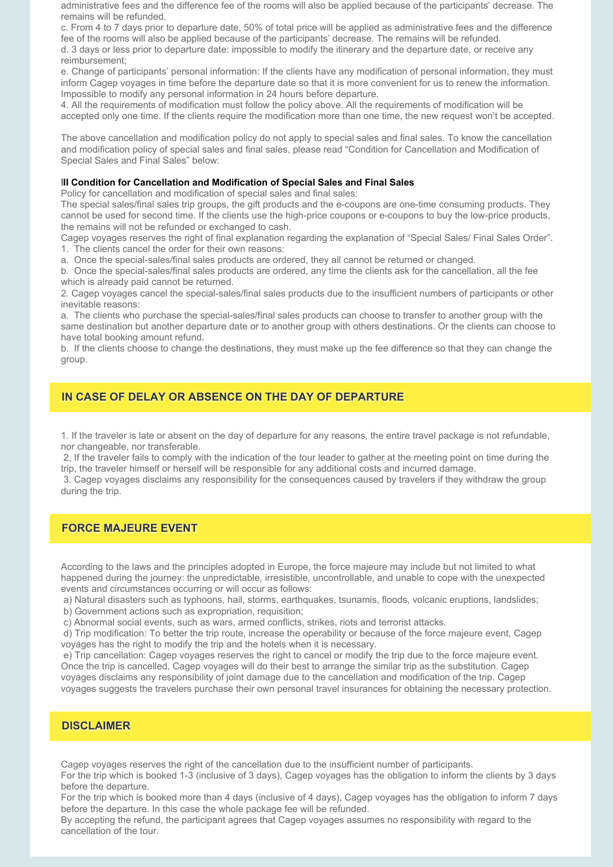administrative fees and the difference fee of the rooms will also be applied because of the participants' decrease. The remains will be refunded.

c. From 4 to 7 days prior to departure date, 50% of total price will be applied as administrative fees and the difference fee of the rooms will also be applied because of the participants' decrease. The remains will be refunded.

d. 3 days or less prior to departure date: impossible to modify the itinerary and the departure date, or receive any reimbursement;

e. Change of participants' personal information: If the clients have any modification of personal information, they must inform Cagep voyages in time before the departure date so that it is more convenient for us to renew the information. Impossible to modify any personal information in 24 hours before departure.

4. All the requirements of modification must follow the policy above. All the requirements of modification will be accepted only one time. If the clients require the modification more than one time, the new request won't be accepted.

The above cancellation and modification policy do not apply to special sales and final sales. To know the cancellation and modification policy of special sales and final sales, please read "Condition for Cancellation and Modification of Special Sales and Final Sales" below:

### **III Condition for Cancellation and Modification of Special Sales and Final Sales**

Policy for cancellation and modification of special sales and final sales:

The special sales/final sales trip groups, the gift products and the e-coupons are one-time consuming products. They cannot be used for second time. If the clients use the high-price coupons or e-coupons to buy the low-price products, the remains will not be refunded or exchanged to cash.

Cagep voyages reserves the right of final explanation regarding the explanation of "Special Sales/ Final Sales Order". 1. The clients cancel the order for their own reasons:

a. Once the special-sales/final sales products are ordered, they all cannot be returned or changed.

b. Once the special-sales/final sales products are ordered, any time the clients ask for the cancellation, all the fee which is already paid cannot be returned.

2. Cagep voyages cancel the special-sales/final sales products due to the insufficient numbers of participants or other inevitable reasons:

a. The clients who purchase the special-sales/final sales products can choose to transfer to another group with the same destination but another departure date or to another group with others destinations. Or the clients can choose to have total booking amount refund.

b. If the clients choose to change the destinations, they must make up the fee difference so that they can change the group.

## **IN CASE OF DELAY OR ABSENCE ON THE DAY OF DEPARTURE**

1. If the traveler is late or absent on the day of departure for any reasons, the entire travel package is not refundable, nor changeable, nor transferable.

2, If the traveler fails to comply with the indication of the tour leader to gather at the meeting point on time during the trip, the traveler himself or herself will be responsible for any additional costs and incurred damage.

3. Cagep voyages disclaims any responsibility for the consequences caused by travelers if they withdraw the group during the trip.

# **FORCE MAJEURE EVENT**

According to the laws and the principles adopted in Europe, the force majeure may include but not limited to what happened during the journey: the unpredictable, irresistible, uncontrollable, and unable to cope with the unexpected events and circumstances occurring or will occur as follows:

a) Natural disasters such as typhoons, hail, storms, earthquakes, tsunamis, floods, volcanic eruptions, landslides;

b) Government actions such as expropriation, requisition;

c) Abnormal social events, such as wars, armed conflicts, strikes, riots and terrorist attacks.

d) Trip modification: To better the trip route, increase the operability or because of the force majeure event, Cagep voyages has the right to modify the trip and the hotels when it is necessary.

e) Trip cancellation: Cagep voyages reserves the right to cancel or modify the trip due to the force majeure event. Once the trip is cancelled, Cagep voyages will do their best to arrange the similar trip as the substitution. Cagep voyages disclaims any responsibility of joint damage due to the cancellation and modification of the trip. Cagep voyages suggests the travelers purchase their own personal travel insurances for obtaining the necessary protection.

### **DISCLAIMER**

Cagep voyages reserves the right of the cancellation due to the insufficient number of participants.

For the trip which is booked 1-3 (inclusive of 3 days), Cagep voyages has the obligation to inform the clients by 3 days before the departure.

For the trip which is booked more than 4 days (inclusive of 4 days), Cagep voyages has the obligation to inform 7 days before the departure. In this case the whole package fee will be refunded.

By accepting the refund, the participant agrees that Cagep voyages assumes no responsibility with regard to the cancellation of the tour.